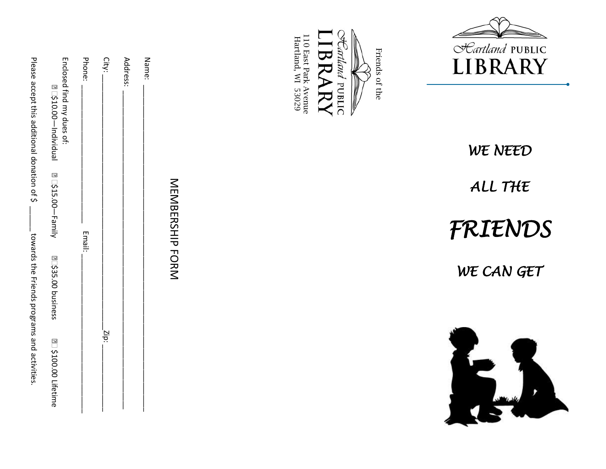| Please accept this additional donation of \$<br>Enclosed find my dues of:<br>€□\$10.00—lndividual | Phone: | City: | Name:<br>Address: |                        | East Park Avenue<br>rtland, WI 53029 | artland PUBLIC<br>Friends of the<br>BRARY | <i>CLariland</i> PUBLIC<br><b>LIBRARY</b> |
|---------------------------------------------------------------------------------------------------|--------|-------|-------------------|------------------------|--------------------------------------|-------------------------------------------|-------------------------------------------|
|                                                                                                   |        |       |                   |                        |                                      |                                           | WE NEED                                   |
|                                                                                                   |        |       |                   |                        |                                      |                                           | ALL THE                                   |
| €□\$15.00—Family                                                                                  | Email: |       |                   | <b>NENDERSHIP FORN</b> |                                      |                                           | FRIENDS                                   |
| towards the Friends programs and activities<br>€ 535.00 business                                  |        |       |                   |                        |                                      |                                           | WE CAN GET                                |
| € 2100.00 Lifetime                                                                                |        | Zip:  |                   |                        |                                      |                                           |                                           |





# *FRIENDS*